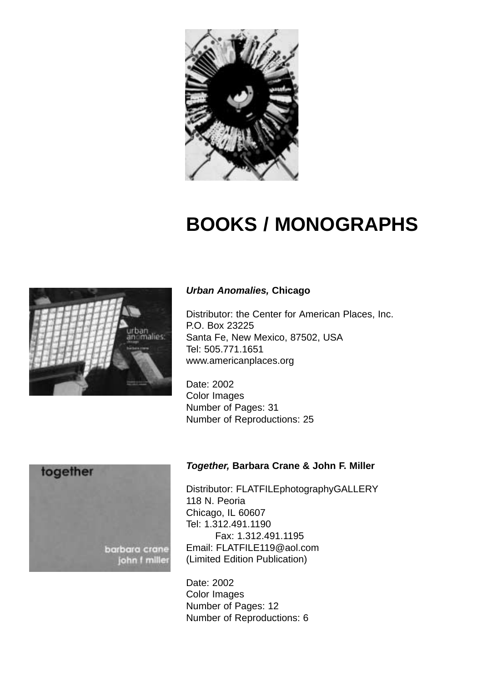

# **BOOKS / MONOGRAPHS**



#### *Urban Anomalies,* **Chicago**

Distributor: the Center for American Places, Inc. P.O. Box 23225 Santa Fe, New Mexico, 87502, USA Tel: 505.771.1651 www.americanplaces.org

Date: 2002 Color Images Number of Pages: 31 Number of Reproductions: 25



#### *Together,* **Barbara Crane & John F. Miller**

Distributor: FLATFILEphotographyGALLERY 118 N. Peoria Chicago, IL 60607 Tel: 1.312.491.1190 Fax: 1.312.491.1195 Email: FLATFILE119@aol.com (Limited Edition Publication)

Date: 2002 Color Images Number of Pages: 12 Number of Reproductions: 6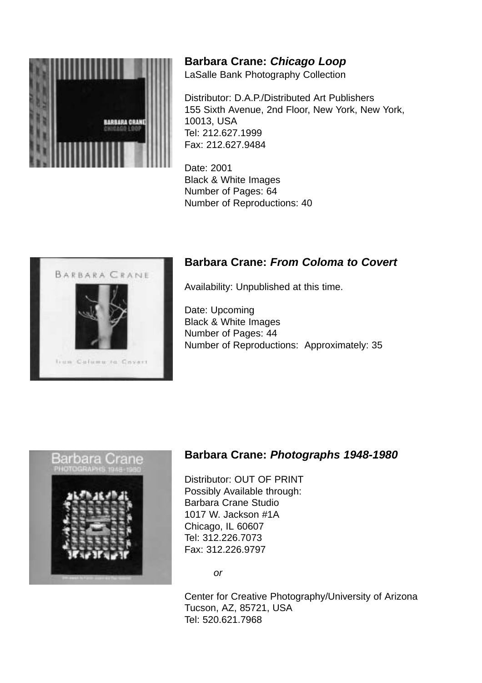

**Barbara Crane:** *Chicago Loop*

LaSalle Bank Photography Collection

Distributor: D.A.P./Distributed Art Publishers 155 Sixth Avenue, 2nd Floor, New York, New York, 10013, USA Tel: 212.627.1999 Fax: 212.627.9484

Date: 2001 Black & White Images Number of Pages: 64 Number of Reproductions: 40



## **Barbara Crane:** *From Coloma to Covert*

Availability: Unpublished at this time.

Date: Upcoming Black & White Images Number of Pages: 44 Number of Reproductions: Approximately: 35



## **Barbara Crane:** *Photographs 1948-1980*

Distributor: OUT OF PRINT Possibly Available through: Barbara Crane Studio 1017 W. Jackson #1A Chicago, IL 60607 Tel: 312.226.7073 Fax: 312.226.9797

*or*

Center for Creative Photography/University of Arizona Tucson, AZ, 85721, USA Tel: 520.621.7968